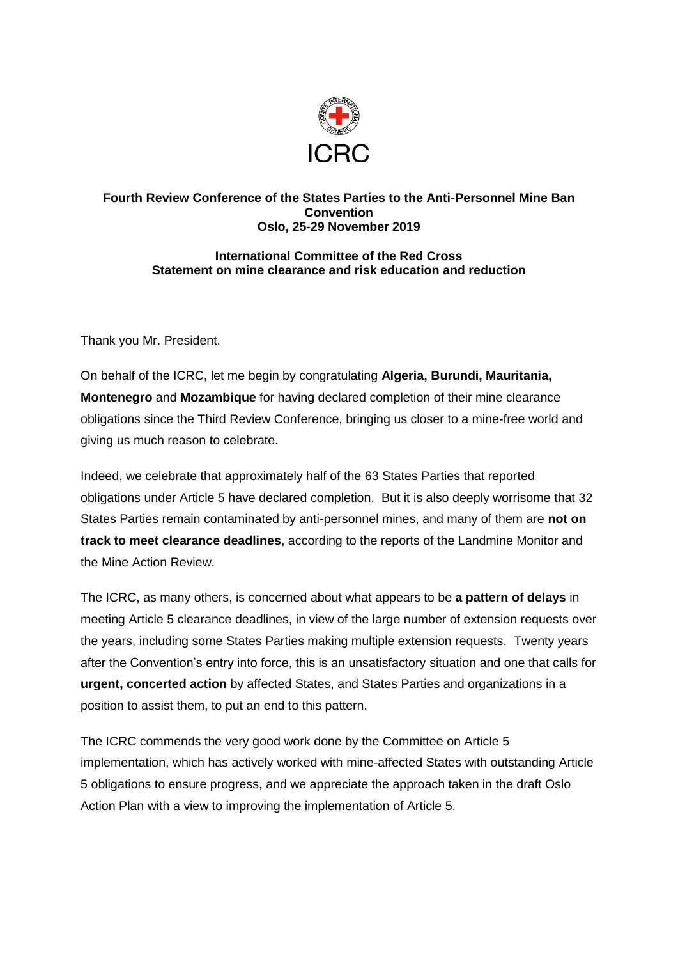

## **Fourth Review Conference of the States Parties to the Anti-Personnel Mine Ban Convention Oslo, 25-29 November 2019**

## **International Committee of the Red Cross Statement on mine clearance and risk education and reduction**

Thank you Mr. President.

On behalf of the ICRC, let me begin by congratulating **Algeria, Burundi, Mauritania, Montenegro** and **Mozambique** for having declared completion of their mine clearance obligations since the Third Review Conference, bringing us closer to a mine-free world and giving us much reason to celebrate.

Indeed, we celebrate that approximately half of the 63 States Parties that reported obligations under Article 5 have declared completion. But it is also deeply worrisome that 32 States Parties remain contaminated by anti-personnel mines, and many of them are **not on track to meet clearance deadlines**, according to the reports of the Landmine Monitor and the Mine Action Review.

The ICRC, as many others, is concerned about what appears to be **a pattern of delays** in meeting Article 5 clearance deadlines, in view of the large number of extension requests over the years, including some States Parties making multiple extension requests. Twenty years after the Convention's entry into force, this is an unsatisfactory situation and one that calls for **urgent, concerted action** by affected States, and States Parties and organizations in a position to assist them, to put an end to this pattern.

The ICRC commends the very good work done by the Committee on Article 5 implementation, which has actively worked with mine-affected States with outstanding Article 5 obligations to ensure progress, and we appreciate the approach taken in the draft Oslo Action Plan with a view to improving the implementation of Article 5.